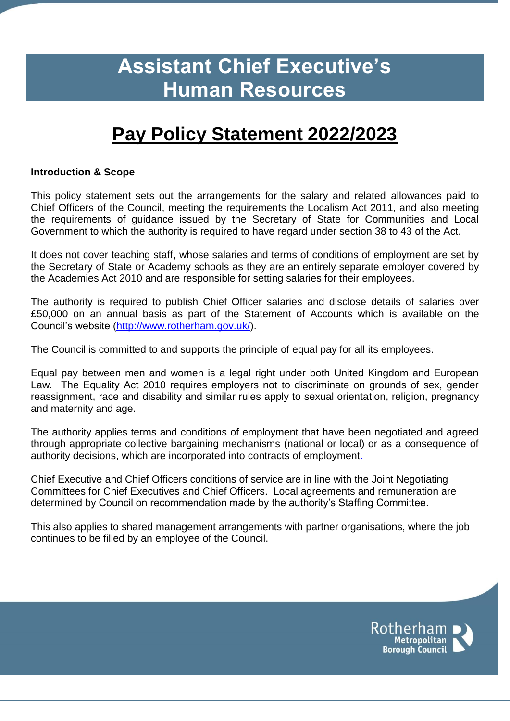# **Assistant Chief Executive's Human Resources**

# **Pay Policy Statement 2022/2023**

#### **Introduction & Scope**

This policy statement sets out the arrangements for the salary and related allowances paid to Chief Officers of the Council, meeting the requirements the Localism Act 2011, and also meeting the requirements of guidance issued by the Secretary of State for Communities and Local Government to which the authority is required to have regard under section 38 to 43 of the Act.

It does not cover teaching staff, whose salaries and terms of conditions of employment are set by the Secretary of State or Academy schools as they are an entirely separate employer covered by the Academies Act 2010 and are responsible for setting salaries for their employees.

The authority is required to publish Chief Officer salaries and disclose details of salaries over £50,000 on an annual basis as part of the Statement of Accounts which is available on the Council's website [\(http://www.rotherham.gov.uk/\)](http://www.rotherham.gov.uk/).

The Council is committed to and supports the principle of equal pay for all its employees.

Equal pay between men and women is a legal right under both United Kingdom and European Law. The Equality Act 2010 requires employers not to discriminate on grounds of sex, gender reassignment, race and disability and similar rules apply to sexual orientation, religion, pregnancy and maternity and age.

The authority applies terms and conditions of employment that have been negotiated and agreed through appropriate collective bargaining mechanisms (national or local) or as a consequence of authority decisions, which are incorporated into contracts of employment.

Chief Executive and Chief Officers conditions of service are in line with the Joint Negotiating Committees for Chief Executives and Chief Officers. Local agreements and remuneration are determined by Council on recommendation made by the authority's Staffing Committee.

This also applies to shared management arrangements with partner organisations, where the job continues to be filled by an employee of the Council.

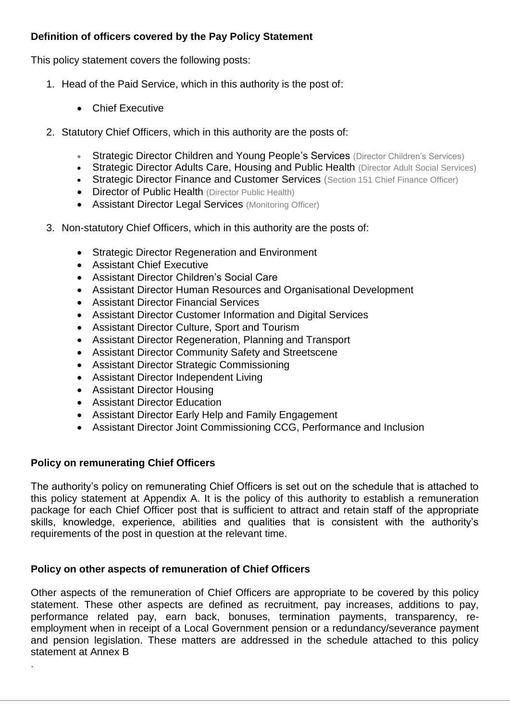## **Definition of officers covered by the Pay Policy Statement**

This policy statement covers the following posts:

- 1. Head of the Paid Service, which in this authority is the post of:
	- Chief Executive
- 2. Statutory Chief Officers, which in this authority are the posts of:
	- Strategic Director Children and Young People's Services (Director Children's Services)
	- Strategic Director Adults Care, Housing and Public Health (Director Adult Social Services)
	- Strategic Director Finance and Customer Services (Section 151 Chief Finance Officer)
	- Director of Public Health (Director Public Health)
	- Assistant Director Legal Services (Monitoring Officer)
- 3. Non-statutory Chief Officers, which in this authority are the posts of:
	- **Strategic Director Regeneration and Environment**
	- Assistant Chief Executive
	- Assistant Director Children's Social Care
	- Assistant Director Human Resources and Organisational Development
	- Assistant Director Financial Services
	- Assistant Director Customer Information and Digital Services
	- Assistant Director Culture, Sport and Tourism
	- Assistant Director Regeneration, Planning and Transport
	- Assistant Director Community Safety and Streetscene
	- Assistant Director Strategic Commissioning
	- Assistant Director Independent Living
	- Assistant Director Housing
	- Assistant Director Education
	- Assistant Director Early Help and Family Engagement
	- Assistant Director Joint Commissioning CCG, Performance and Inclusion

#### **Policy on remunerating Chief Officers**

.

The authority's policy on remunerating Chief Officers is set out on the schedule that is attached to this policy statement at Appendix A. It is the policy of this authority to establish a remuneration package for each Chief Officer post that is sufficient to attract and retain staff of the appropriate skills, knowledge, experience, abilities and qualities that is consistent with the authority's requirements of the post in question at the relevant time.

## **Policy on other aspects of remuneration of Chief Officers**

Other aspects of the remuneration of Chief Officers are appropriate to be covered by this policy statement. These other aspects are defined as recruitment, pay increases, additions to pay, performance related pay, earn back, bonuses, termination payments, transparency, reemployment when in receipt of a Local Government pension or a redundancy/severance payment and pension legislation. These matters are addressed in the schedule attached to this policy statement at Annex B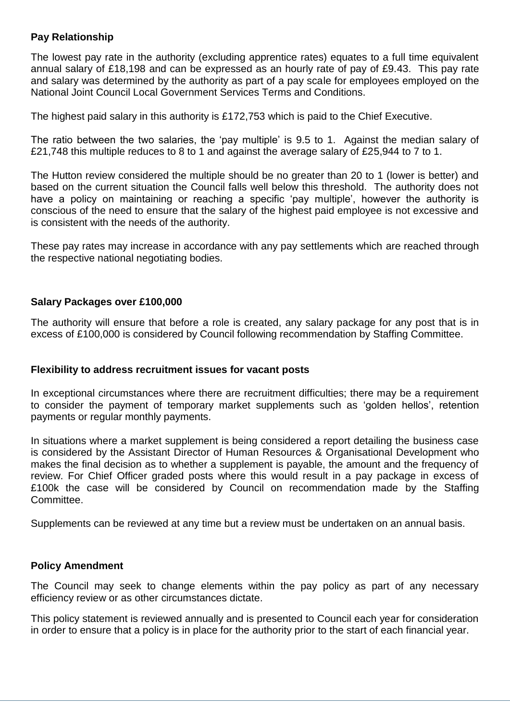#### **Pay Relationship**

The lowest pay rate in the authority (excluding apprentice rates) equates to a full time equivalent annual salary of £18,198 and can be expressed as an hourly rate of pay of £9.43. This pay rate and salary was determined by the authority as part of a pay scale for employees employed on the National Joint Council Local Government Services Terms and Conditions.

The highest paid salary in this authority is £172,753 which is paid to the Chief Executive.

The ratio between the two salaries, the 'pay multiple' is 9.5 to 1. Against the median salary of £21,748 this multiple reduces to 8 to 1 and against the average salary of £25,944 to 7 to 1.

The Hutton review considered the multiple should be no greater than 20 to 1 (lower is better) and based on the current situation the Council falls well below this threshold. The authority does not have a policy on maintaining or reaching a specific 'pay multiple', however the authority is conscious of the need to ensure that the salary of the highest paid employee is not excessive and is consistent with the needs of the authority.

These pay rates may increase in accordance with any pay settlements which are reached through the respective national negotiating bodies.

#### **Salary Packages over £100,000**

The authority will ensure that before a role is created, any salary package for any post that is in excess of £100,000 is considered by Council following recommendation by Staffing Committee.

#### **Flexibility to address recruitment issues for vacant posts**

In exceptional circumstances where there are recruitment difficulties; there may be a requirement to consider the payment of temporary market supplements such as 'golden hellos', retention payments or regular monthly payments.

In situations where a market supplement is being considered a report detailing the business case is considered by the Assistant Director of Human Resources & Organisational Development who makes the final decision as to whether a supplement is payable, the amount and the frequency of review. For Chief Officer graded posts where this would result in a pay package in excess of £100k the case will be considered by Council on recommendation made by the Staffing Committee.

Supplements can be reviewed at any time but a review must be undertaken on an annual basis.

#### **Policy Amendment**

The Council may seek to change elements within the pay policy as part of any necessary efficiency review or as other circumstances dictate.

This policy statement is reviewed annually and is presented to Council each year for consideration in order to ensure that a policy is in place for the authority prior to the start of each financial year.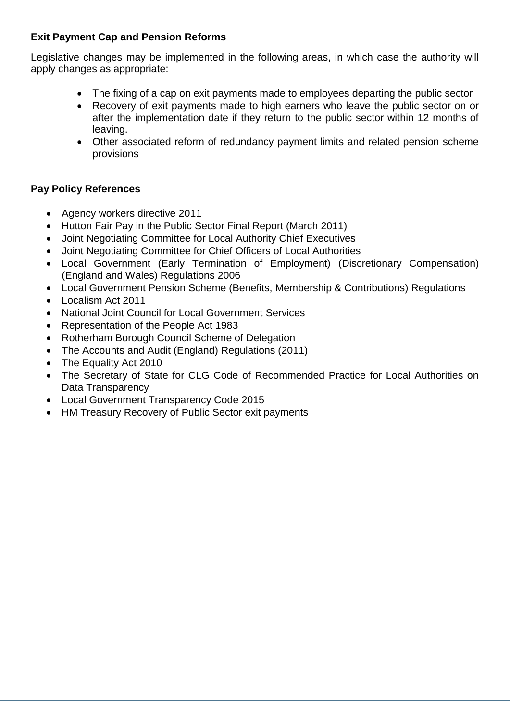## **Exit Payment Cap and Pension Reforms**

Legislative changes may be implemented in the following areas, in which case the authority will apply changes as appropriate:

- The fixing of a cap on exit payments made to employees departing the public sector
- Recovery of exit payments made to high earners who leave the public sector on or after the implementation date if they return to the public sector within 12 months of leaving.
- Other associated reform of redundancy payment limits and related pension scheme provisions

# **Pay Policy References**

- Agency workers directive 2011
- Hutton Fair Pay in the Public Sector Final Report (March 2011)
- Joint Negotiating Committee for Local Authority Chief Executives
- Joint Negotiating Committee for Chief Officers of Local Authorities
- Local Government (Early Termination of Employment) (Discretionary Compensation) (England and Wales) Regulations 2006
- Local Government Pension Scheme (Benefits, Membership & Contributions) Regulations
- Localism Act 2011
- National Joint Council for Local Government Services
- Representation of the People Act 1983
- Rotherham Borough Council Scheme of Delegation
- The Accounts and Audit (England) Regulations (2011)
- The Equality Act 2010
- The Secretary of State for CLG Code of Recommended Practice for Local Authorities on Data Transparency
- Local Government Transparency Code 2015
- HM Treasury Recovery of Public Sector exit payments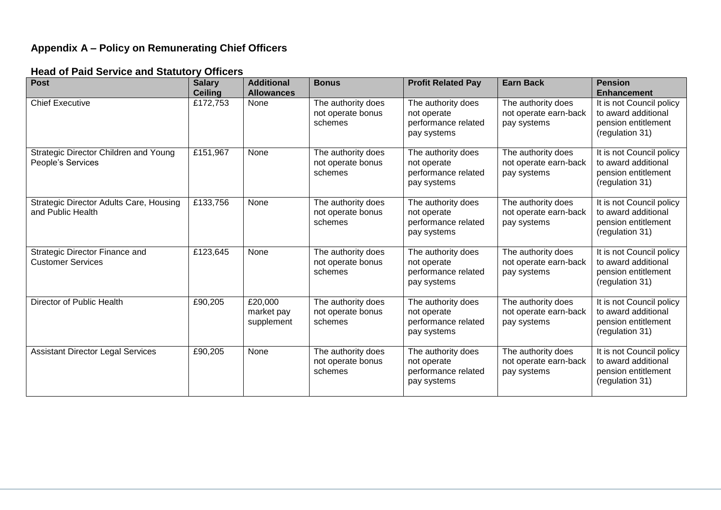# **Appendix A – Policy on Remunerating Chief Officers**

### **Head of Paid Service and Statutory Officers**

| <b>Post</b>                                                         | <b>Salary</b><br><b>Ceiling</b> | <b>Additional</b><br><b>Allowances</b> | <b>Bonus</b>                                       | <b>Profit Related Pay</b>                                               | <b>Earn Back</b>                                           | <b>Pension</b><br><b>Enhancement</b>                                                      |
|---------------------------------------------------------------------|---------------------------------|----------------------------------------|----------------------------------------------------|-------------------------------------------------------------------------|------------------------------------------------------------|-------------------------------------------------------------------------------------------|
| <b>Chief Executive</b>                                              | £172,753                        | None                                   | The authority does<br>not operate bonus<br>schemes | The authority does<br>not operate<br>performance related<br>pay systems | The authority does<br>not operate earn-back<br>pay systems | It is not Council policy<br>to award additional<br>pension entitlement<br>(regulation 31) |
| Strategic Director Children and Young<br>People's Services          | £151,967                        | <b>None</b>                            | The authority does<br>not operate bonus<br>schemes | The authority does<br>not operate<br>performance related<br>pay systems | The authority does<br>not operate earn-back<br>pay systems | It is not Council policy<br>to award additional<br>pension entitlement<br>(regulation 31) |
| <b>Strategic Director Adults Care, Housing</b><br>and Public Health | £133,756                        | None                                   | The authority does<br>not operate bonus<br>schemes | The authority does<br>not operate<br>performance related<br>pay systems | The authority does<br>not operate earn-back<br>pay systems | It is not Council policy<br>to award additional<br>pension entitlement<br>(regulation 31) |
| Strategic Director Finance and<br><b>Customer Services</b>          | £123,645                        | None                                   | The authority does<br>not operate bonus<br>schemes | The authority does<br>not operate<br>performance related<br>pay systems | The authority does<br>not operate earn-back<br>pay systems | It is not Council policy<br>to award additional<br>pension entitlement<br>(regulation 31) |
| Director of Public Health                                           | £90,205                         | £20,000<br>market pay<br>supplement    | The authority does<br>not operate bonus<br>schemes | The authority does<br>not operate<br>performance related<br>pay systems | The authority does<br>not operate earn-back<br>pay systems | It is not Council policy<br>to award additional<br>pension entitlement<br>(regulation 31) |
| <b>Assistant Director Legal Services</b>                            | £90,205                         | None                                   | The authority does<br>not operate bonus<br>schemes | The authority does<br>not operate<br>performance related<br>pay systems | The authority does<br>not operate earn-back<br>pay systems | It is not Council policy<br>to award additional<br>pension entitlement<br>(regulation 31) |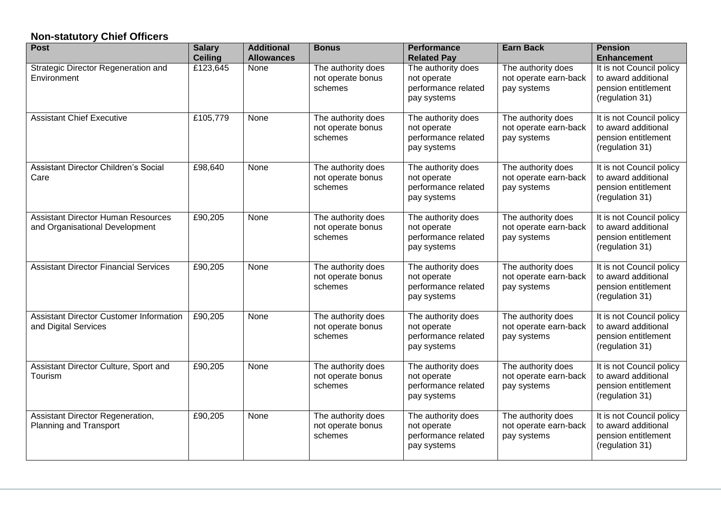# **Non-statutory Chief Officers**

| <b>Post</b>                                                                 | <b>Salary</b><br><b>Ceiling</b> | <b>Additional</b><br><b>Allowances</b> | <b>Bonus</b>                                       | <b>Performance</b><br><b>Related Pay</b>                                | <b>Earn Back</b>                                           | <b>Pension</b><br><b>Enhancement</b>                                                      |
|-----------------------------------------------------------------------------|---------------------------------|----------------------------------------|----------------------------------------------------|-------------------------------------------------------------------------|------------------------------------------------------------|-------------------------------------------------------------------------------------------|
| Strategic Director Regeneration and<br>Environment                          | £123,645                        | None                                   | The authority does<br>not operate bonus<br>schemes | The authority does<br>not operate<br>performance related<br>pay systems | The authority does<br>not operate earn-back<br>pay systems | It is not Council policy<br>to award additional<br>pension entitlement<br>(regulation 31) |
| <b>Assistant Chief Executive</b>                                            | £105,779                        | None                                   | The authority does<br>not operate bonus<br>schemes | The authority does<br>not operate<br>performance related<br>pay systems | The authority does<br>not operate earn-back<br>pay systems | It is not Council policy<br>to award additional<br>pension entitlement<br>(regulation 31) |
| Assistant Director Children's Social<br>Care                                | £98,640                         | None                                   | The authority does<br>not operate bonus<br>schemes | The authority does<br>not operate<br>performance related<br>pay systems | The authority does<br>not operate earn-back<br>pay systems | It is not Council policy<br>to award additional<br>pension entitlement<br>(regulation 31) |
| <b>Assistant Director Human Resources</b><br>and Organisational Development | £90,205                         | None                                   | The authority does<br>not operate bonus<br>schemes | The authority does<br>not operate<br>performance related<br>pay systems | The authority does<br>not operate earn-back<br>pay systems | It is not Council policy<br>to award additional<br>pension entitlement<br>(regulation 31) |
| <b>Assistant Director Financial Services</b>                                | £90,205                         | None                                   | The authority does<br>not operate bonus<br>schemes | The authority does<br>not operate<br>performance related<br>pay systems | The authority does<br>not operate earn-back<br>pay systems | It is not Council policy<br>to award additional<br>pension entitlement<br>(regulation 31) |
| Assistant Director Customer Information<br>and Digital Services             | £90,205                         | None                                   | The authority does<br>not operate bonus<br>schemes | The authority does<br>not operate<br>performance related<br>pay systems | The authority does<br>not operate earn-back<br>pay systems | It is not Council policy<br>to award additional<br>pension entitlement<br>(regulation 31) |
| Assistant Director Culture, Sport and<br>Tourism                            | £90,205                         | None                                   | The authority does<br>not operate bonus<br>schemes | The authority does<br>not operate<br>performance related<br>pay systems | The authority does<br>not operate earn-back<br>pay systems | It is not Council policy<br>to award additional<br>pension entitlement<br>(regulation 31) |
| Assistant Director Regeneration,<br>Planning and Transport                  | £90,205                         | None                                   | The authority does<br>not operate bonus<br>schemes | The authority does<br>not operate<br>performance related<br>pay systems | The authority does<br>not operate earn-back<br>pay systems | It is not Council policy<br>to award additional<br>pension entitlement<br>(regulation 31) |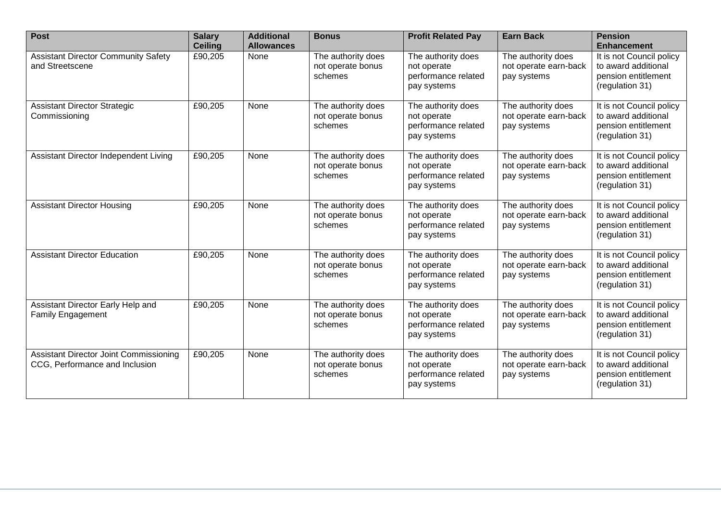| <b>Post</b>                                                              | <b>Salary</b><br><b>Ceiling</b> | <b>Additional</b><br><b>Allowances</b> | <b>Bonus</b>                                       | <b>Profit Related Pay</b>                                               | <b>Earn Back</b>                                           | <b>Pension</b><br><b>Enhancement</b>                                                      |
|--------------------------------------------------------------------------|---------------------------------|----------------------------------------|----------------------------------------------------|-------------------------------------------------------------------------|------------------------------------------------------------|-------------------------------------------------------------------------------------------|
| <b>Assistant Director Community Safety</b><br>and Streetscene            | £90,205                         | None                                   | The authority does<br>not operate bonus<br>schemes | The authority does<br>not operate<br>performance related<br>pay systems | The authority does<br>not operate earn-back<br>pay systems | It is not Council policy<br>to award additional<br>pension entitlement<br>(regulation 31) |
| <b>Assistant Director Strategic</b><br>Commissioning                     | £90,205                         | None                                   | The authority does<br>not operate bonus<br>schemes | The authority does<br>not operate<br>performance related<br>pay systems | The authority does<br>not operate earn-back<br>pay systems | It is not Council policy<br>to award additional<br>pension entitlement<br>(regulation 31) |
| Assistant Director Independent Living                                    | £90,205                         | None                                   | The authority does<br>not operate bonus<br>schemes | The authority does<br>not operate<br>performance related<br>pay systems | The authority does<br>not operate earn-back<br>pay systems | It is not Council policy<br>to award additional<br>pension entitlement<br>(regulation 31) |
| <b>Assistant Director Housing</b>                                        | £90,205                         | None                                   | The authority does<br>not operate bonus<br>schemes | The authority does<br>not operate<br>performance related<br>pay systems | The authority does<br>not operate earn-back<br>pay systems | It is not Council policy<br>to award additional<br>pension entitlement<br>(regulation 31) |
| <b>Assistant Director Education</b>                                      | £90,205                         | None                                   | The authority does<br>not operate bonus<br>schemes | The authority does<br>not operate<br>performance related<br>pay systems | The authority does<br>not operate earn-back<br>pay systems | It is not Council policy<br>to award additional<br>pension entitlement<br>(regulation 31) |
| Assistant Director Early Help and<br><b>Family Engagement</b>            | £90,205                         | None                                   | The authority does<br>not operate bonus<br>schemes | The authority does<br>not operate<br>performance related<br>pay systems | The authority does<br>not operate earn-back<br>pay systems | It is not Council policy<br>to award additional<br>pension entitlement<br>(regulation 31) |
| Assistant Director Joint Commissioning<br>CCG, Performance and Inclusion | £90,205                         | None                                   | The authority does<br>not operate bonus<br>schemes | The authority does<br>not operate<br>performance related<br>pay systems | The authority does<br>not operate earn-back<br>pay systems | It is not Council policy<br>to award additional<br>pension entitlement<br>(regulation 31) |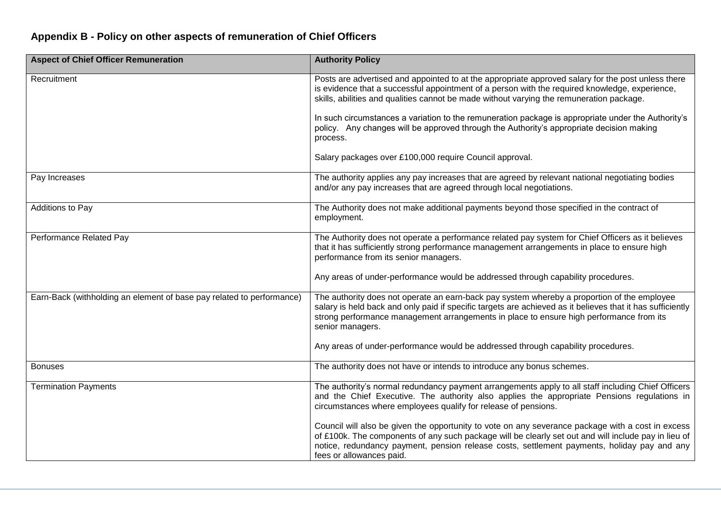# **Appendix B - Policy on other aspects of remuneration of Chief Officers**

| <b>Aspect of Chief Officer Remuneration</b>                           | <b>Authority Policy</b>                                                                                                                                                                                                                                                                                                              |
|-----------------------------------------------------------------------|--------------------------------------------------------------------------------------------------------------------------------------------------------------------------------------------------------------------------------------------------------------------------------------------------------------------------------------|
| Recruitment                                                           | Posts are advertised and appointed to at the appropriate approved salary for the post unless there<br>is evidence that a successful appointment of a person with the required knowledge, experience,<br>skills, abilities and qualities cannot be made without varying the remuneration package.                                     |
|                                                                       | In such circumstances a variation to the remuneration package is appropriate under the Authority's<br>policy. Any changes will be approved through the Authority's appropriate decision making<br>process.                                                                                                                           |
|                                                                       | Salary packages over £100,000 require Council approval.                                                                                                                                                                                                                                                                              |
| Pay Increases                                                         | The authority applies any pay increases that are agreed by relevant national negotiating bodies<br>and/or any pay increases that are agreed through local negotiations.                                                                                                                                                              |
| Additions to Pay                                                      | The Authority does not make additional payments beyond those specified in the contract of<br>employment.                                                                                                                                                                                                                             |
| Performance Related Pay                                               | The Authority does not operate a performance related pay system for Chief Officers as it believes<br>that it has sufficiently strong performance management arrangements in place to ensure high<br>performance from its senior managers.                                                                                            |
|                                                                       | Any areas of under-performance would be addressed through capability procedures.                                                                                                                                                                                                                                                     |
| Earn-Back (withholding an element of base pay related to performance) | The authority does not operate an earn-back pay system whereby a proportion of the employee<br>salary is held back and only paid if specific targets are achieved as it believes that it has sufficiently<br>strong performance management arrangements in place to ensure high performance from its<br>senior managers.             |
|                                                                       | Any areas of under-performance would be addressed through capability procedures.                                                                                                                                                                                                                                                     |
| <b>Bonuses</b>                                                        | The authority does not have or intends to introduce any bonus schemes.                                                                                                                                                                                                                                                               |
| <b>Termination Payments</b>                                           | The authority's normal redundancy payment arrangements apply to all staff including Chief Officers<br>and the Chief Executive. The authority also applies the appropriate Pensions regulations in<br>circumstances where employees qualify for release of pensions.                                                                  |
|                                                                       | Council will also be given the opportunity to vote on any severance package with a cost in excess<br>of £100k. The components of any such package will be clearly set out and will include pay in lieu of<br>notice, redundancy payment, pension release costs, settlement payments, holiday pay and any<br>fees or allowances paid. |